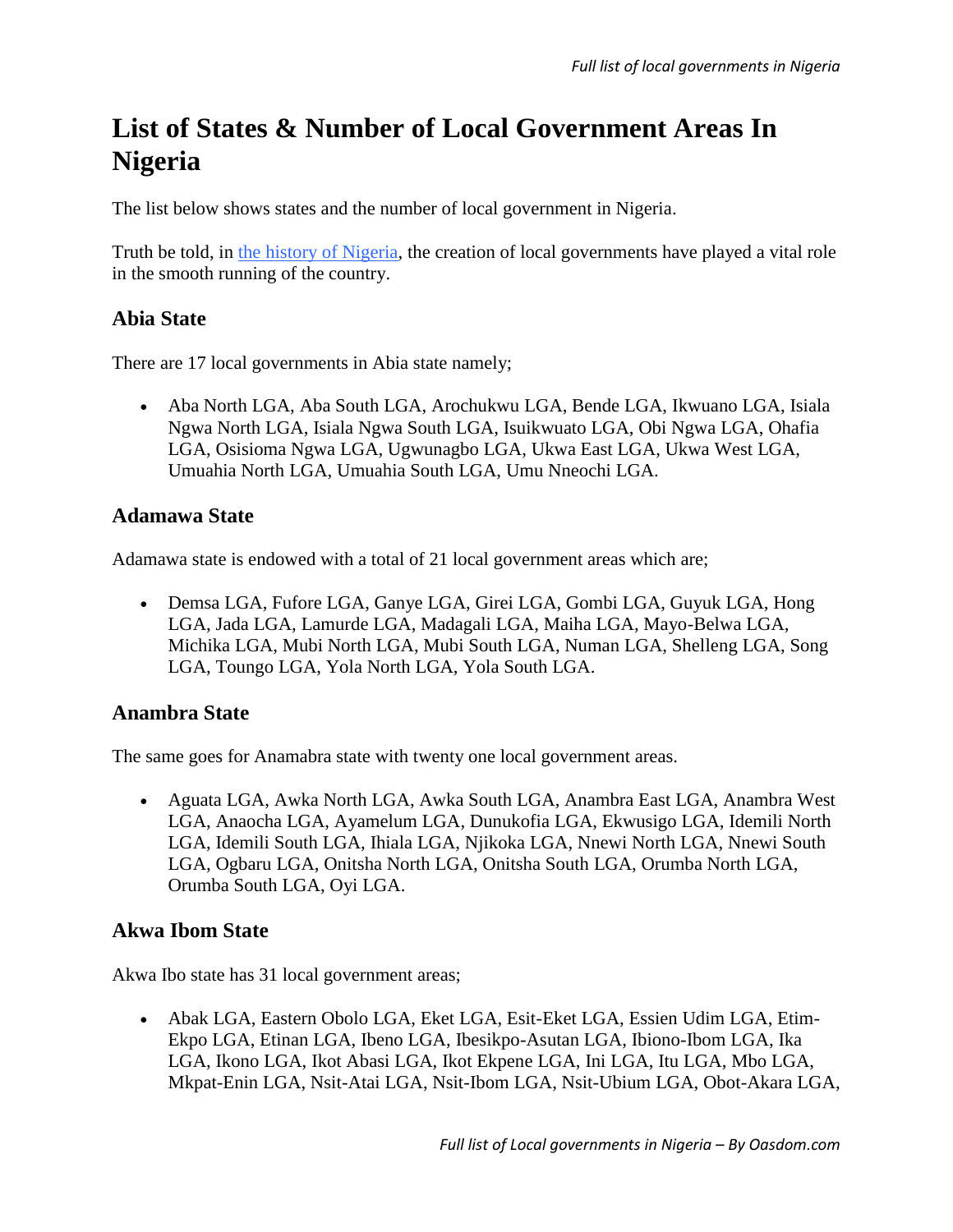# **List of States & Number of Local Government Areas In Nigeria**

The list below shows states and the number of local government in Nigeria.

Truth be told, in [the history of Nigeria,](https://www.oasdom.com/history-of-nigeria-1960-till-date/) the creation of local governments have played a vital role in the smooth running of the country.

# **Abia State**

There are 17 local governments in Abia state namely;

 Aba North LGA, Aba South LGA, Arochukwu LGA, Bende LGA, Ikwuano LGA, Isiala Ngwa North LGA, Isiala Ngwa South LGA, Isuikwuato LGA, Obi Ngwa LGA, Ohafia LGA, Osisioma Ngwa LGA, Ugwunagbo LGA, Ukwa East LGA, Ukwa West LGA, Umuahia North LGA, Umuahia South LGA, Umu Nneochi LGA.

## **Adamawa State**

Adamawa state is endowed with a total of 21 local government areas which are;

 Demsa LGA, Fufore LGA, Ganye LGA, Girei LGA, Gombi LGA, Guyuk LGA, Hong LGA, Jada LGA, Lamurde LGA, Madagali LGA, Maiha LGA, Mayo-Belwa LGA, Michika LGA, Mubi North LGA, Mubi South LGA, Numan LGA, Shelleng LGA, Song LGA, Toungo LGA, Yola North LGA, Yola South LGA.

## **Anambra State**

The same goes for Anamabra state with twenty one local government areas.

 Aguata LGA, Awka North LGA, Awka South LGA, Anambra East LGA, Anambra West LGA, Anaocha LGA, Ayamelum LGA, Dunukofia LGA, Ekwusigo LGA, Idemili North LGA, Idemili South LGA, Ihiala LGA, Njikoka LGA, Nnewi North LGA, Nnewi South LGA, Ogbaru LGA, Onitsha North LGA, Onitsha South LGA, Orumba North LGA, Orumba South LGA, Oyi LGA.

## **Akwa Ibom State**

Akwa Ibo state has 31 local government areas;

 Abak LGA, Eastern Obolo LGA, Eket LGA, Esit-Eket LGA, Essien Udim LGA, Etim-Ekpo LGA, Etinan LGA, Ibeno LGA, Ibesikpo-Asutan LGA, Ibiono-Ibom LGA, Ika LGA, Ikono LGA, Ikot Abasi LGA, Ikot Ekpene LGA, Ini LGA, Itu LGA, Mbo LGA, Mkpat-Enin LGA, Nsit-Atai LGA, Nsit-Ibom LGA, Nsit-Ubium LGA, Obot-Akara LGA,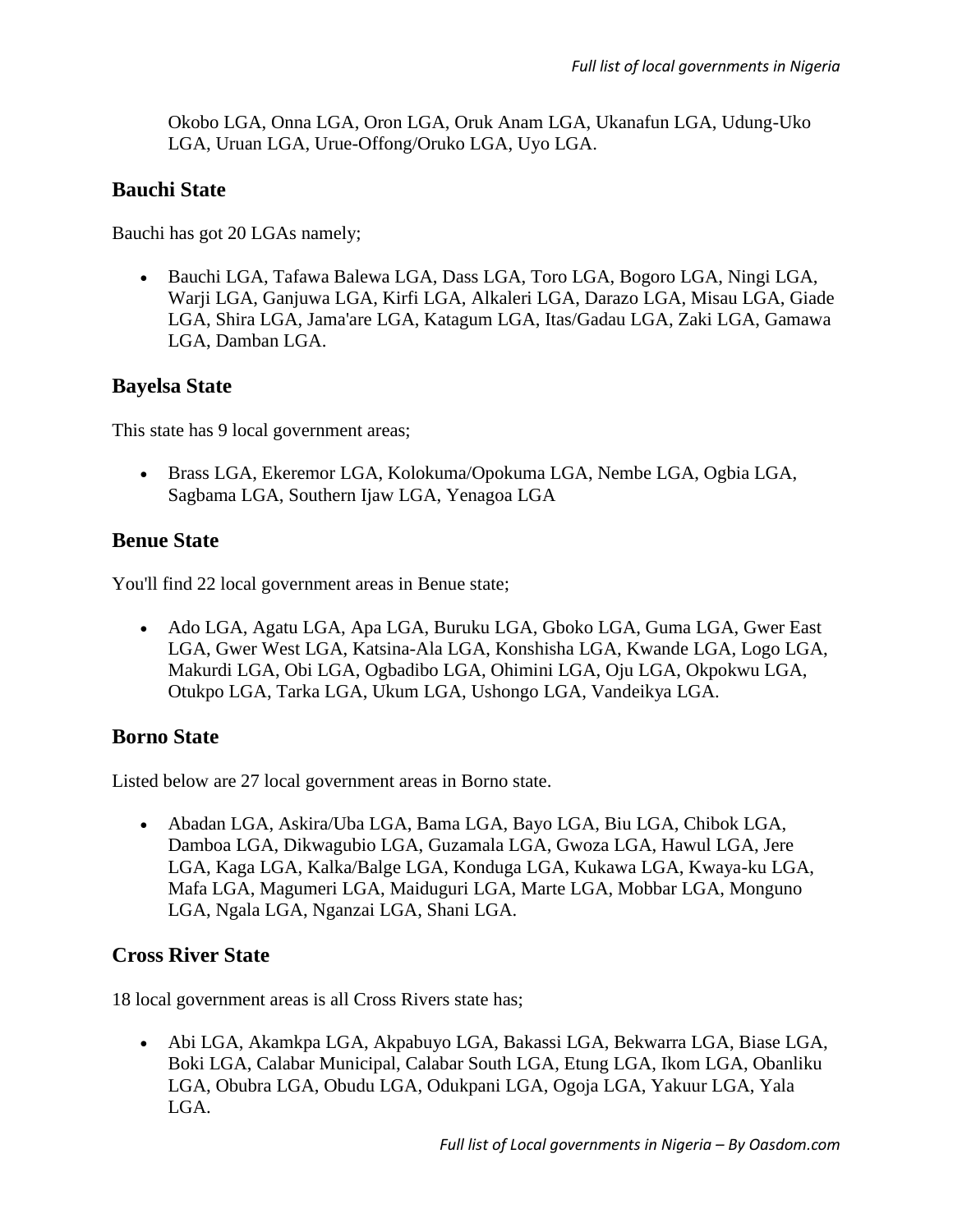Okobo LGA, Onna LGA, Oron LGA, Oruk Anam LGA, Ukanafun LGA, Udung-Uko LGA, Uruan LGA, Urue-Offong/Oruko LGA, Uyo LGA.

## **Bauchi State**

Bauchi has got 20 LGAs namely;

 Bauchi LGA, Tafawa Balewa LGA, Dass LGA, Toro LGA, Bogoro LGA, Ningi LGA, Warji LGA, Ganjuwa LGA, Kirfi LGA, Alkaleri LGA, Darazo LGA, Misau LGA, Giade LGA, Shira LGA, Jama'are LGA, Katagum LGA, Itas/Gadau LGA, Zaki LGA, Gamawa LGA, Damban LGA.

## **Bayelsa State**

This state has 9 local government areas;

 Brass LGA, Ekeremor LGA, Kolokuma/Opokuma LGA, Nembe LGA, Ogbia LGA, Sagbama LGA, Southern Ijaw LGA, Yenagoa LGA

#### **Benue State**

You'll find 22 local government areas in Benue state;

 Ado LGA, Agatu LGA, Apa LGA, Buruku LGA, Gboko LGA, Guma LGA, Gwer East LGA, Gwer West LGA, Katsina-Ala LGA, Konshisha LGA, Kwande LGA, Logo LGA, Makurdi LGA, Obi LGA, Ogbadibo LGA, Ohimini LGA, Oju LGA, Okpokwu LGA, Otukpo LGA, Tarka LGA, Ukum LGA, Ushongo LGA, Vandeikya LGA.

## **Borno State**

Listed below are 27 local government areas in Borno state.

 Abadan LGA, Askira/Uba LGA, Bama LGA, Bayo LGA, Biu LGA, Chibok LGA, Damboa LGA, Dikwagubio LGA, Guzamala LGA, Gwoza LGA, Hawul LGA, Jere LGA, Kaga LGA, Kalka/Balge LGA, Konduga LGA, Kukawa LGA, Kwaya-ku LGA, Mafa LGA, Magumeri LGA, Maiduguri LGA, Marte LGA, Mobbar LGA, Monguno LGA, Ngala LGA, Nganzai LGA, Shani LGA.

## **Cross River State**

18 local government areas is all Cross Rivers state has;

 Abi LGA, Akamkpa LGA, Akpabuyo LGA, Bakassi LGA, Bekwarra LGA, Biase LGA, Boki LGA, Calabar Municipal, Calabar South LGA, Etung LGA, Ikom LGA, Obanliku LGA, Obubra LGA, Obudu LGA, Odukpani LGA, Ogoja LGA, Yakuur LGA, Yala LGA.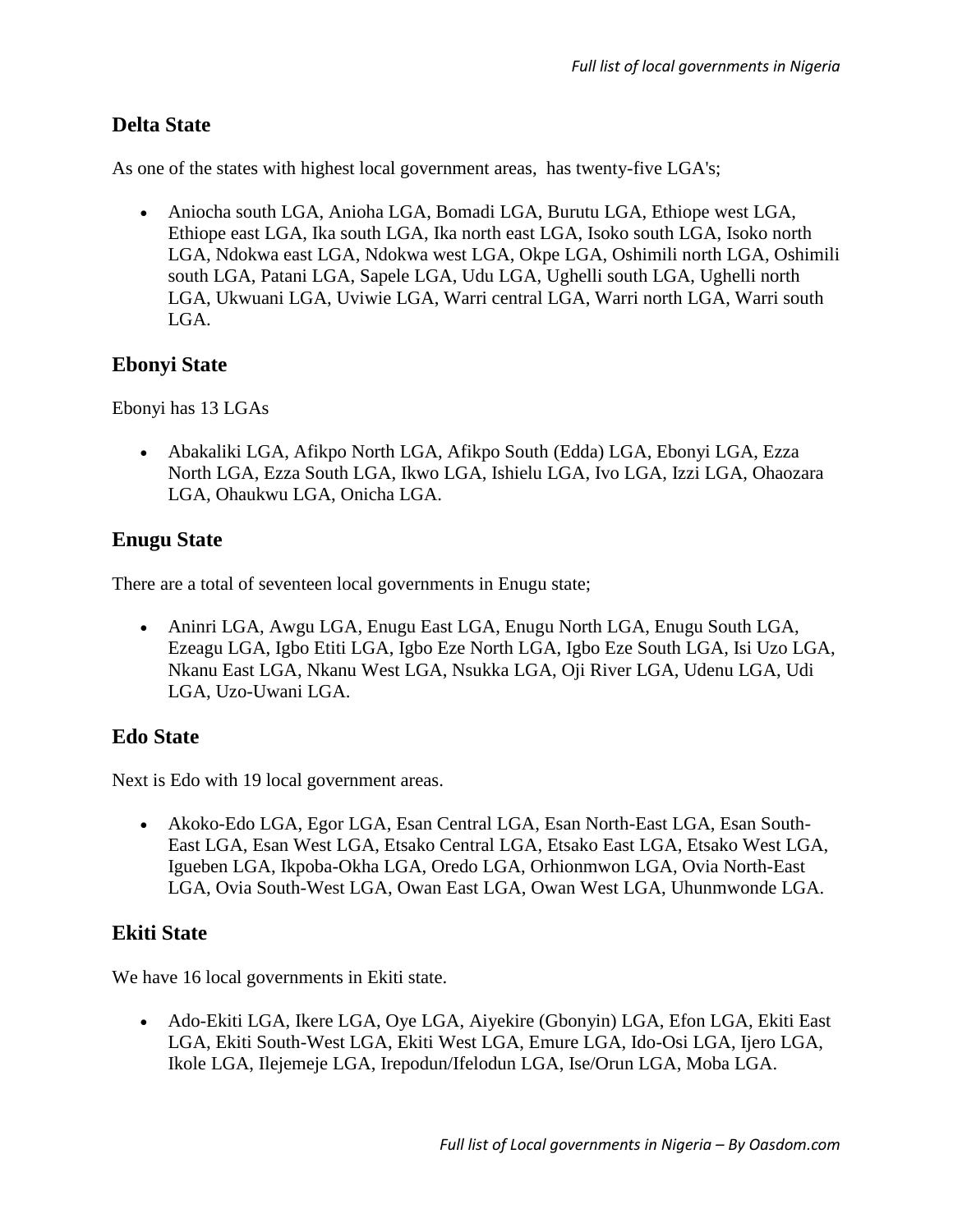# **Delta State**

As one of the states with highest local government areas, has twenty-five LGA's;

 Aniocha south LGA, Anioha LGA, Bomadi LGA, Burutu LGA, Ethiope west LGA, Ethiope east LGA, Ika south LGA, Ika north east LGA, Isoko south LGA, Isoko north LGA, Ndokwa east LGA, Ndokwa west LGA, Okpe LGA, Oshimili north LGA, Oshimili south LGA, Patani LGA, Sapele LGA, Udu LGA, Ughelli south LGA, Ughelli north LGA, Ukwuani LGA, Uviwie LGA, Warri central LGA, Warri north LGA, Warri south LGA.

# **Ebonyi State**

Ebonyi has 13 LGAs

 Abakaliki LGA, Afikpo North LGA, Afikpo South (Edda) LGA, Ebonyi LGA, Ezza North LGA, Ezza South LGA, Ikwo LGA, Ishielu LGA, Ivo LGA, Izzi LGA, Ohaozara LGA, Ohaukwu LGA, Onicha LGA.

# **Enugu State**

There are a total of seventeen local governments in Enugu state;

 Aninri LGA, Awgu LGA, Enugu East LGA, Enugu North LGA, Enugu South LGA, Ezeagu LGA, Igbo Etiti LGA, Igbo Eze North LGA, Igbo Eze South LGA, Isi Uzo LGA, Nkanu East LGA, Nkanu West LGA, Nsukka LGA, Oji River LGA, Udenu LGA, Udi LGA, Uzo-Uwani LGA.

# **Edo State**

Next is Edo with 19 local government areas.

 Akoko-Edo LGA, Egor LGA, Esan Central LGA, Esan North-East LGA, Esan South-East LGA, Esan West LGA, Etsako Central LGA, Etsako East LGA, Etsako West LGA, Igueben LGA, Ikpoba-Okha LGA, Oredo LGA, Orhionmwon LGA, Ovia North-East LGA, Ovia South-West LGA, Owan East LGA, Owan West LGA, Uhunmwonde LGA.

# **Ekiti State**

We have 16 local governments in Ekiti state.

 Ado-Ekiti LGA, Ikere LGA, Oye LGA, Aiyekire (Gbonyin) LGA, Efon LGA, Ekiti East LGA, Ekiti South-West LGA, Ekiti West LGA, Emure LGA, Ido-Osi LGA, Ijero LGA, Ikole LGA, Ilejemeje LGA, Irepodun/Ifelodun LGA, Ise/Orun LGA, Moba LGA.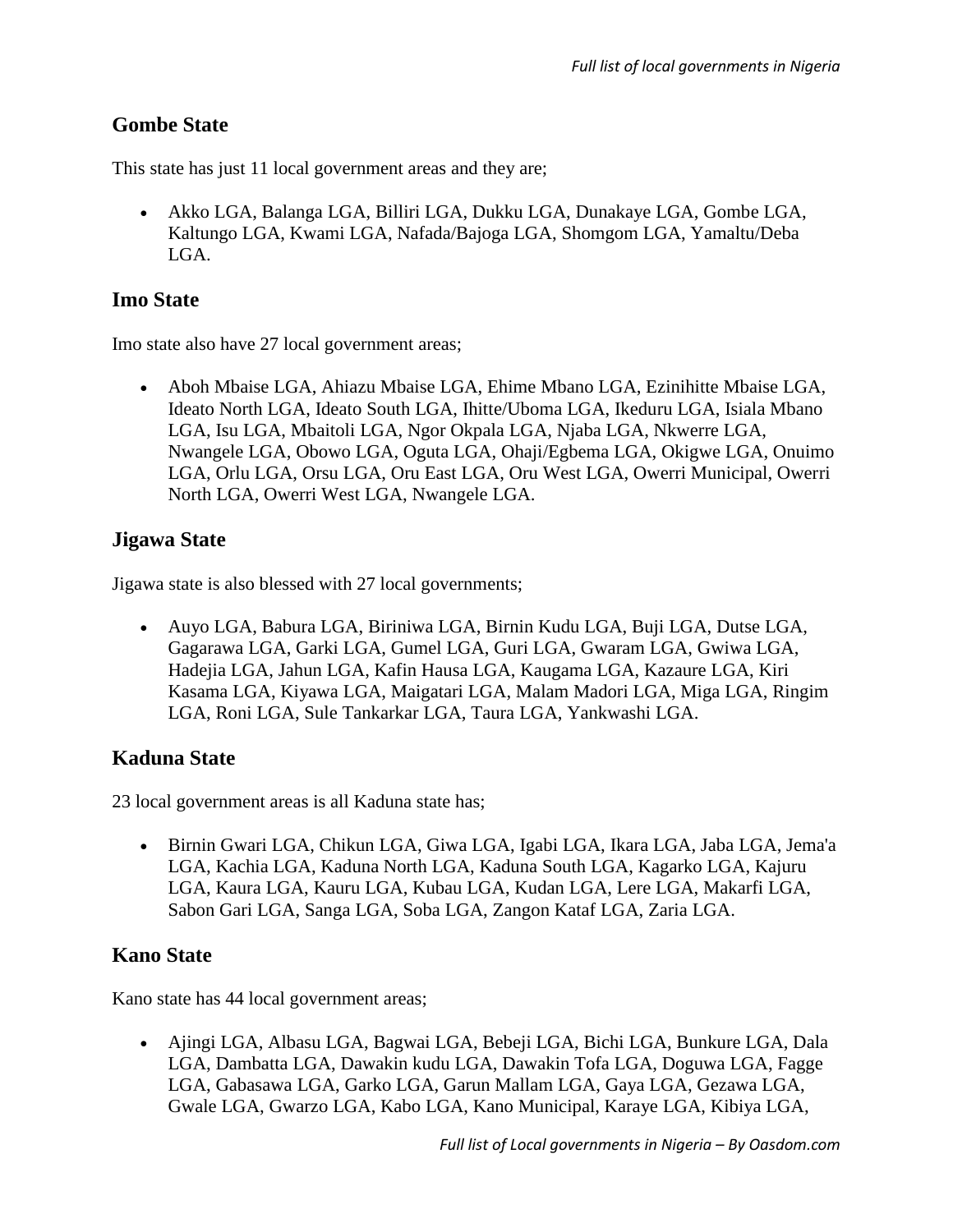# **Gombe State**

This state has just 11 local government areas and they are;

 Akko LGA, Balanga LGA, Billiri LGA, Dukku LGA, Dunakaye LGA, Gombe LGA, Kaltungo LGA, Kwami LGA, Nafada/Bajoga LGA, Shomgom LGA, Yamaltu/Deba LGA.

## **Imo State**

Imo state also have 27 local government areas;

 Aboh Mbaise LGA, Ahiazu Mbaise LGA, Ehime Mbano LGA, Ezinihitte Mbaise LGA, Ideato North LGA, Ideato South LGA, Ihitte/Uboma LGA, Ikeduru LGA, Isiala Mbano LGA, Isu LGA, Mbaitoli LGA, Ngor Okpala LGA, Njaba LGA, Nkwerre LGA, Nwangele LGA, Obowo LGA, Oguta LGA, Ohaji/Egbema LGA, Okigwe LGA, Onuimo LGA, Orlu LGA, Orsu LGA, Oru East LGA, Oru West LGA, Owerri Municipal, Owerri North LGA, Owerri West LGA, Nwangele LGA.

#### **Jigawa State**

Jigawa state is also blessed with 27 local governments;

 Auyo LGA, Babura LGA, Biriniwa LGA, Birnin Kudu LGA, Buji LGA, Dutse LGA, Gagarawa LGA, Garki LGA, Gumel LGA, Guri LGA, Gwaram LGA, Gwiwa LGA, Hadejia LGA, Jahun LGA, Kafin Hausa LGA, Kaugama LGA, Kazaure LGA, Kiri Kasama LGA, Kiyawa LGA, Maigatari LGA, Malam Madori LGA, Miga LGA, Ringim LGA, Roni LGA, Sule Tankarkar LGA, Taura LGA, Yankwashi LGA.

#### **Kaduna State**

23 local government areas is all Kaduna state has;

 Birnin Gwari LGA, Chikun LGA, Giwa LGA, Igabi LGA, Ikara LGA, Jaba LGA, Jema'a LGA, Kachia LGA, Kaduna North LGA, Kaduna South LGA, Kagarko LGA, Kajuru LGA, Kaura LGA, Kauru LGA, Kubau LGA, Kudan LGA, Lere LGA, Makarfi LGA, Sabon Gari LGA, Sanga LGA, Soba LGA, Zangon Kataf LGA, Zaria LGA.

#### **Kano State**

Kano state has 44 local government areas;

 Ajingi LGA, Albasu LGA, Bagwai LGA, Bebeji LGA, Bichi LGA, Bunkure LGA, Dala LGA, Dambatta LGA, Dawakin kudu LGA, Dawakin Tofa LGA, Doguwa LGA, Fagge LGA, Gabasawa LGA, Garko LGA, Garun Mallam LGA, Gaya LGA, Gezawa LGA, Gwale LGA, Gwarzo LGA, Kabo LGA, Kano Municipal, Karaye LGA, Kibiya LGA,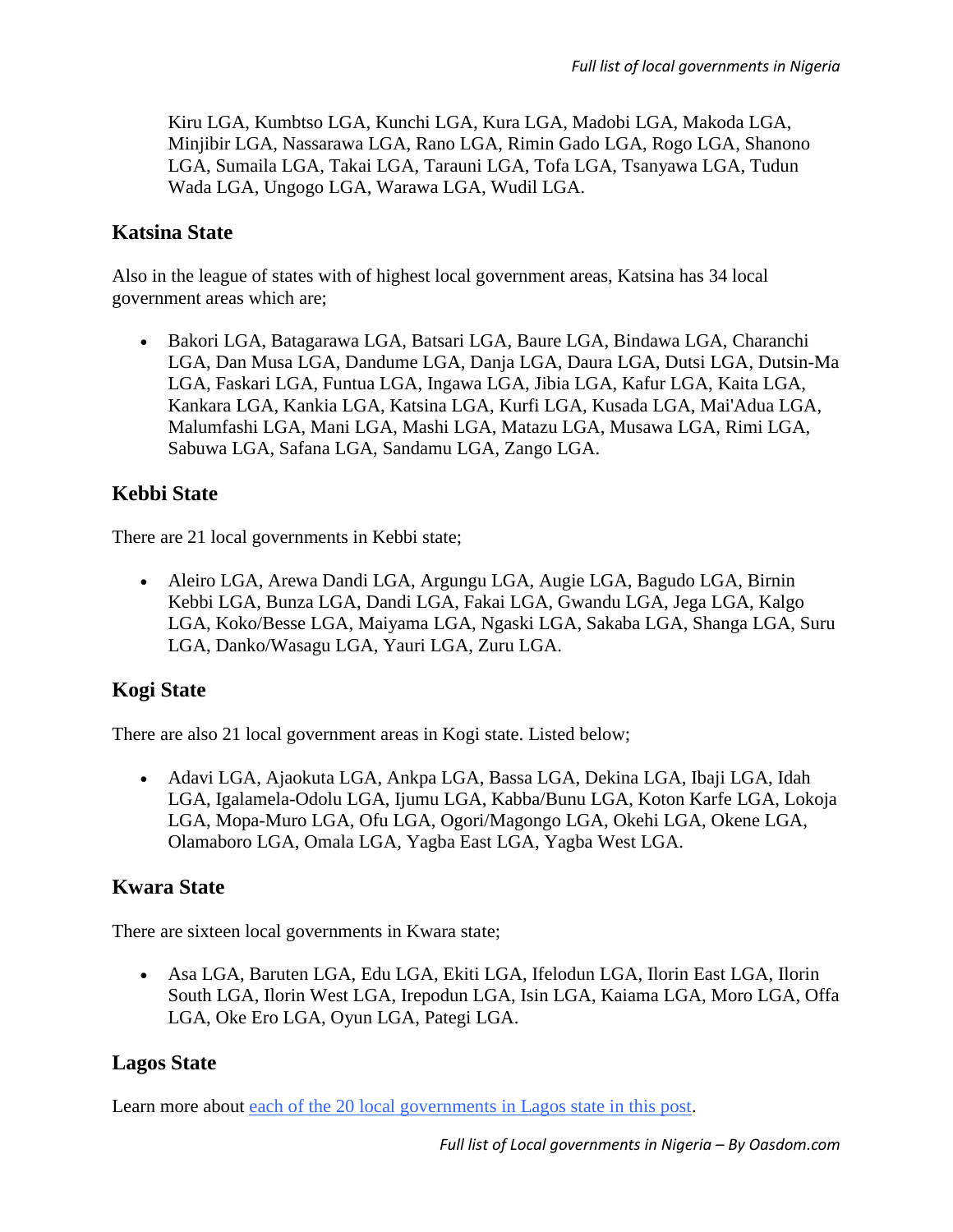Kiru LGA, Kumbtso LGA, Kunchi LGA, Kura LGA, Madobi LGA, Makoda LGA, Minjibir LGA, Nassarawa LGA, Rano LGA, Rimin Gado LGA, Rogo LGA, Shanono LGA, Sumaila LGA, Takai LGA, Tarauni LGA, Tofa LGA, Tsanyawa LGA, Tudun Wada LGA, Ungogo LGA, Warawa LGA, Wudil LGA.

## **Katsina State**

Also in the league of states with of highest local government areas, Katsina has 34 local government areas which are;

 Bakori LGA, Batagarawa LGA, Batsari LGA, Baure LGA, Bindawa LGA, Charanchi LGA, Dan Musa LGA, Dandume LGA, Danja LGA, Daura LGA, Dutsi LGA, Dutsin-Ma LGA, Faskari LGA, Funtua LGA, Ingawa LGA, Jibia LGA, Kafur LGA, Kaita LGA, Kankara LGA, Kankia LGA, Katsina LGA, Kurfi LGA, Kusada LGA, Mai'Adua LGA, Malumfashi LGA, Mani LGA, Mashi LGA, Matazu LGA, Musawa LGA, Rimi LGA, Sabuwa LGA, Safana LGA, Sandamu LGA, Zango LGA.

# **Kebbi State**

There are 21 local governments in Kebbi state;

 Aleiro LGA, Arewa Dandi LGA, Argungu LGA, Augie LGA, Bagudo LGA, Birnin Kebbi LGA, Bunza LGA, Dandi LGA, Fakai LGA, Gwandu LGA, Jega LGA, Kalgo LGA, Koko/Besse LGA, Maiyama LGA, Ngaski LGA, Sakaba LGA, Shanga LGA, Suru LGA, Danko/Wasagu LGA, Yauri LGA, Zuru LGA.

## **Kogi State**

There are also 21 local government areas in Kogi state. Listed below;

 Adavi LGA, Ajaokuta LGA, Ankpa LGA, Bassa LGA, Dekina LGA, Ibaji LGA, Idah LGA, Igalamela-Odolu LGA, Ijumu LGA, Kabba/Bunu LGA, Koton Karfe LGA, Lokoja LGA, Mopa-Muro LGA, Ofu LGA, Ogori/Magongo LGA, Okehi LGA, Okene LGA, Olamaboro LGA, Omala LGA, Yagba East LGA, Yagba West LGA.

#### **Kwara State**

There are sixteen local governments in Kwara state;

 Asa LGA, Baruten LGA, Edu LGA, Ekiti LGA, Ifelodun LGA, Ilorin East LGA, Ilorin South LGA, Ilorin West LGA, Irepodun LGA, Isin LGA, Kaiama LGA, Moro LGA, Offa LGA, Oke Ero LGA, Oyun LGA, Pategi LGA.

## **Lagos State**

Learn more about [each of the 20 local governments in Lagos state in this post.](https://www.oasdom.com/20-local-governments-lagos-state/)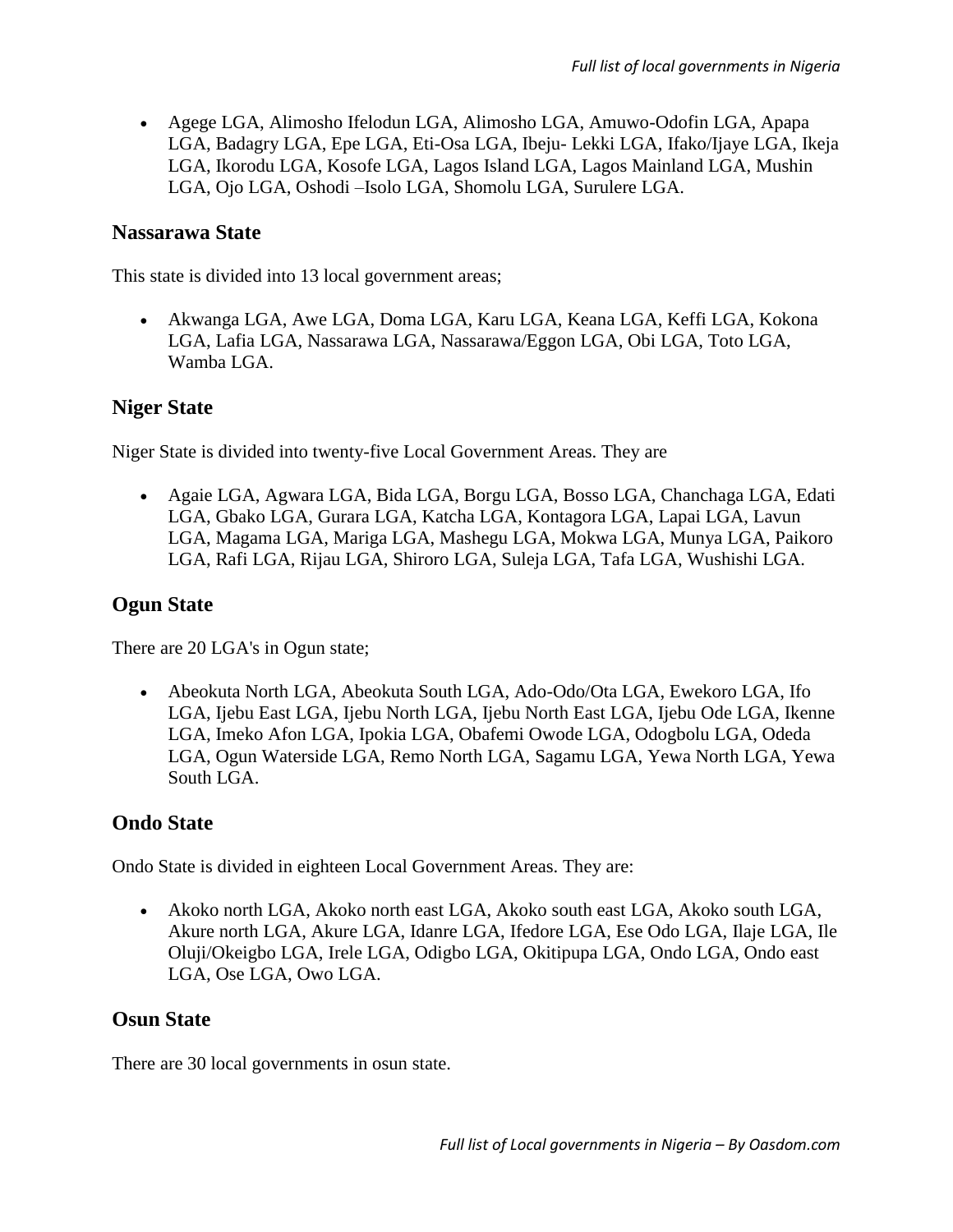Agege LGA, Alimosho Ifelodun LGA, Alimosho LGA, Amuwo-Odofin LGA, Apapa LGA, Badagry LGA, Epe LGA, Eti-Osa LGA, Ibeju- Lekki LGA, Ifako/Ijaye LGA, Ikeja LGA, Ikorodu LGA, Kosofe LGA, Lagos Island LGA, Lagos Mainland LGA, Mushin LGA, Ojo LGA, Oshodi –Isolo LGA, Shomolu LGA, Surulere LGA.

#### **Nassarawa State**

This state is divided into 13 local government areas;

 Akwanga LGA, Awe LGA, Doma LGA, Karu LGA, Keana LGA, Keffi LGA, Kokona LGA, Lafia LGA, Nassarawa LGA, Nassarawa/Eggon LGA, Obi LGA, Toto LGA, Wamba LGA.

#### **Niger State**

Niger State is divided into twenty-five Local Government Areas. They are

 Agaie LGA, Agwara LGA, Bida LGA, Borgu LGA, Bosso LGA, Chanchaga LGA, Edati LGA, Gbako LGA, Gurara LGA, Katcha LGA, Kontagora LGA, Lapai LGA, Lavun LGA, Magama LGA, Mariga LGA, Mashegu LGA, Mokwa LGA, Munya LGA, Paikoro LGA, Rafi LGA, Rijau LGA, Shiroro LGA, Suleja LGA, Tafa LGA, Wushishi LGA.

#### **Ogun State**

There are 20 LGA's in Ogun state;

 Abeokuta North LGA, Abeokuta South LGA, Ado-Odo/Ota LGA, Ewekoro LGA, Ifo LGA, Ijebu East LGA, Ijebu North LGA, Ijebu North East LGA, Ijebu Ode LGA, Ikenne LGA, Imeko Afon LGA, Ipokia LGA, Obafemi Owode LGA, Odogbolu LGA, Odeda LGA, Ogun Waterside LGA, Remo North LGA, Sagamu LGA, Yewa North LGA, Yewa South LGA.

#### **Ondo State**

Ondo State is divided in eighteen Local Government Areas. They are:

 Akoko north LGA, Akoko north east LGA, Akoko south east LGA, Akoko south LGA, Akure north LGA, Akure LGA, Idanre LGA, Ifedore LGA, Ese Odo LGA, Ilaje LGA, Ile Oluji/Okeigbo LGA, Irele LGA, Odigbo LGA, Okitipupa LGA, Ondo LGA, Ondo east LGA, Ose LGA, Owo LGA.

#### **Osun State**

There are 30 local governments in osun state.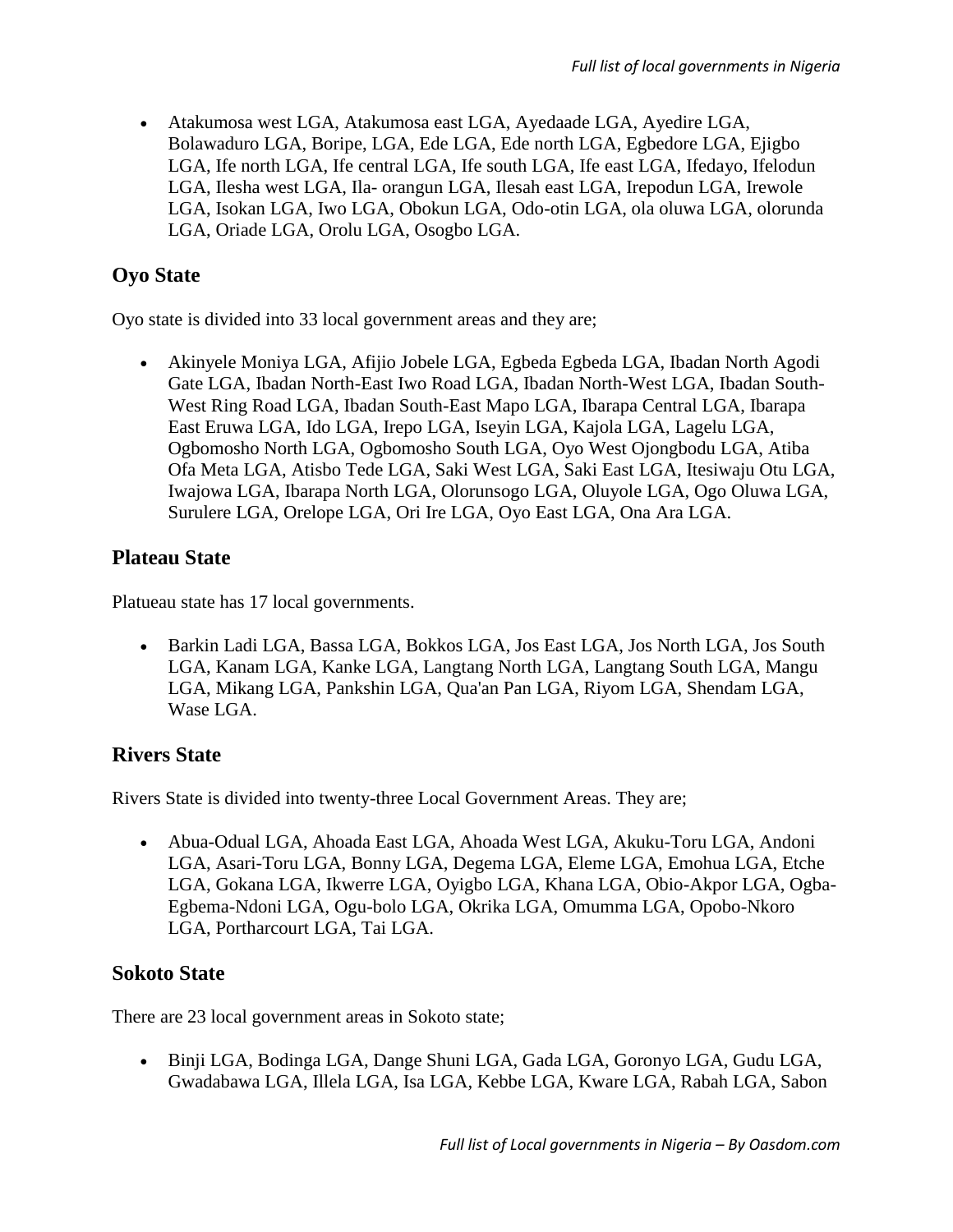Atakumosa west LGA, Atakumosa east LGA, Ayedaade LGA, Ayedire LGA, Bolawaduro LGA, Boripe, LGA, Ede LGA, Ede north LGA, Egbedore LGA, Ejigbo LGA, Ife north LGA, Ife central LGA, Ife south LGA, Ife east LGA, Ifedayo, Ifelodun LGA, Ilesha west LGA, Ila- orangun LGA, Ilesah east LGA, Irepodun LGA, Irewole LGA, Isokan LGA, Iwo LGA, Obokun LGA, Odo-otin LGA, ola oluwa LGA, olorunda LGA, Oriade LGA, Orolu LGA, Osogbo LGA.

# **Oyo State**

Oyo state is divided into 33 local government areas and they are;

 Akinyele Moniya LGA, Afijio Jobele LGA, Egbeda Egbeda LGA, Ibadan North Agodi Gate LGA, Ibadan North-East Iwo Road LGA, Ibadan North-West LGA, Ibadan South-West Ring Road LGA, Ibadan South-East Mapo LGA, Ibarapa Central LGA, Ibarapa East Eruwa LGA, Ido LGA, Irepo LGA, Iseyin LGA, Kajola LGA, Lagelu LGA, Ogbomosho North LGA, Ogbomosho South LGA, Oyo West Ojongbodu LGA, Atiba Ofa Meta LGA, Atisbo Tede LGA, Saki West LGA, Saki East LGA, Itesiwaju Otu LGA, Iwajowa LGA, Ibarapa North LGA, Olorunsogo LGA, Oluyole LGA, Ogo Oluwa LGA, Surulere LGA, Orelope LGA, Ori Ire LGA, Oyo East LGA, Ona Ara LGA.

#### **Plateau State**

Platueau state has 17 local governments.

 Barkin Ladi LGA, Bassa LGA, Bokkos LGA, Jos East LGA, Jos North LGA, Jos South LGA, Kanam LGA, Kanke LGA, Langtang North LGA, Langtang South LGA, Mangu LGA, Mikang LGA, Pankshin LGA, Qua'an Pan LGA, Riyom LGA, Shendam LGA, Wase LGA.

## **Rivers State**

Rivers State is divided into twenty-three Local Government Areas. They are;

 Abua-Odual LGA, Ahoada East LGA, Ahoada West LGA, Akuku-Toru LGA, Andoni LGA, Asari-Toru LGA, Bonny LGA, Degema LGA, Eleme LGA, Emohua LGA, Etche LGA, Gokana LGA, Ikwerre LGA, Oyigbo LGA, Khana LGA, Obio-Akpor LGA, Ogba-Egbema-Ndoni LGA, Ogu-bolo LGA, Okrika LGA, Omumma LGA, Opobo-Nkoro LGA, Portharcourt LGA, Tai LGA.

## **Sokoto State**

There are 23 local government areas in Sokoto state;

 Binji LGA, Bodinga LGA, Dange Shuni LGA, Gada LGA, Goronyo LGA, Gudu LGA, Gwadabawa LGA, Illela LGA, Isa LGA, Kebbe LGA, Kware LGA, Rabah LGA, Sabon